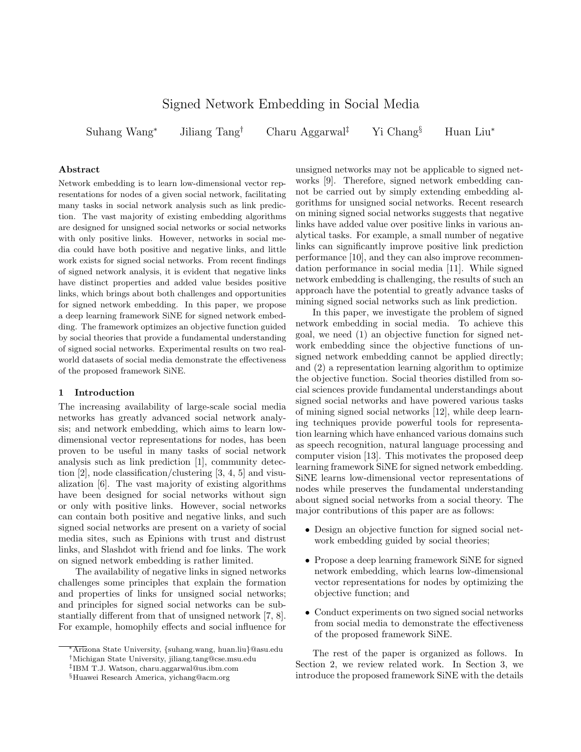# Signed Network Embedding in Social Media

Suhang Wang<sup>∗</sup> Jiliang Tang† Charu Aggarwal‡ Yi Chang§ Huan Liu<sup>∗</sup>

# Abstract

Network embedding is to learn low-dimensional vector representations for nodes of a given social network, facilitating many tasks in social network analysis such as link prediction. The vast majority of existing embedding algorithms are designed for unsigned social networks or social networks with only positive links. However, networks in social media could have both positive and negative links, and little work exists for signed social networks. From recent findings of signed network analysis, it is evident that negative links have distinct properties and added value besides positive links, which brings about both challenges and opportunities for signed network embedding. In this paper, we propose a deep learning framework SiNE for signed network embedding. The framework optimizes an objective function guided by social theories that provide a fundamental understanding of signed social networks. Experimental results on two realworld datasets of social media demonstrate the effectiveness of the proposed framework SiNE.

#### 1 Introduction

The increasing availability of large-scale social media networks has greatly advanced social network analysis; and network embedding, which aims to learn lowdimensional vector representations for nodes, has been proven to be useful in many tasks of social network analysis such as link prediction [1], community detection [2], node classification/clustering [3, 4, 5] and visualization [6]. The vast majority of existing algorithms have been designed for social networks without sign or only with positive links. However, social networks can contain both positive and negative links, and such signed social networks are present on a variety of social media sites, such as Epinions with trust and distrust links, and Slashdot with friend and foe links. The work on signed network embedding is rather limited.

The availability of negative links in signed networks challenges some principles that explain the formation and properties of links for unsigned social networks; and principles for signed social networks can be substantially different from that of unsigned network [7, 8]. For example, homophily effects and social influence for

unsigned networks may not be applicable to signed networks [9]. Therefore, signed network embedding cannot be carried out by simply extending embedding algorithms for unsigned social networks. Recent research on mining signed social networks suggests that negative links have added value over positive links in various analytical tasks. For example, a small number of negative links can significantly improve positive link prediction performance [10], and they can also improve recommendation performance in social media [11]. While signed network embedding is challenging, the results of such an approach have the potential to greatly advance tasks of mining signed social networks such as link prediction.

In this paper, we investigate the problem of signed network embedding in social media. To achieve this goal, we need (1) an objective function for signed network embedding since the objective functions of unsigned network embedding cannot be applied directly; and (2) a representation learning algorithm to optimize the objective function. Social theories distilled from social sciences provide fundamental understandings about signed social networks and have powered various tasks of mining signed social networks [12], while deep learning techniques provide powerful tools for representation learning which have enhanced various domains such as speech recognition, natural language processing and computer vision [13]. This motivates the proposed deep learning framework SiNE for signed network embedding. SiNE learns low-dimensional vector representations of nodes while preserves the fundamental understanding about signed social networks from a social theory. The major contributions of this paper are as follows:

- Design an objective function for signed social network embedding guided by social theories;
- Propose a deep learning framework SiNE for signed network embedding, which learns low-dimensional vector representations for nodes by optimizing the objective function; and
- Conduct experiments on two signed social networks from social media to demonstrate the effectiveness of the proposed framework SiNE.

The rest of the paper is organized as follows. In Section 2, we review related work. In Section 3, we introduce the proposed framework SiNE with the details

<sup>∗</sup>Arizona State University, {suhang.wang, huan.liu}@asu.edu

<sup>†</sup>Michigan State University, jiliang.tang@cse.msu.edu

<sup>‡</sup> IBM T.J. Watson, charu.aggarwal@us.ibm.com

<sup>§</sup>Huawei Research America, yichang@acm.org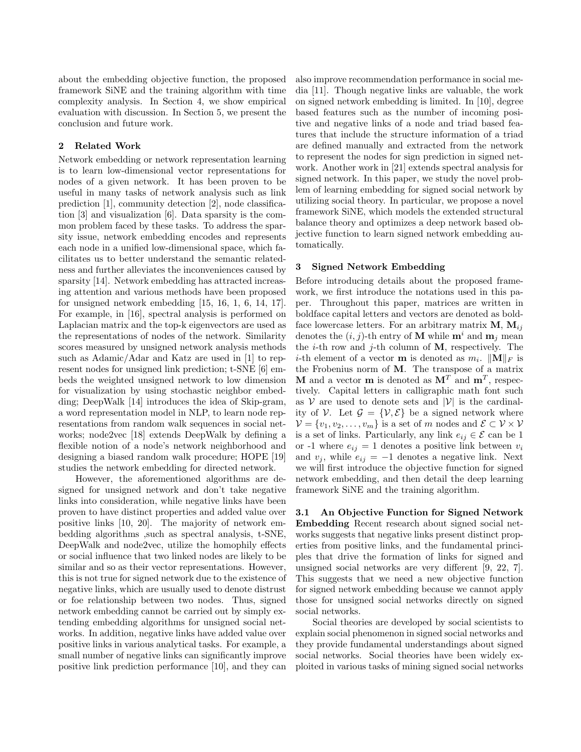about the embedding objective function, the proposed framework SiNE and the training algorithm with time complexity analysis. In Section 4, we show empirical evaluation with discussion. In Section 5, we present the conclusion and future work.

# 2 Related Work

Network embedding or network representation learning is to learn low-dimensional vector representations for nodes of a given network. It has been proven to be useful in many tasks of network analysis such as link prediction [1], community detection [2], node classification [3] and visualization [6]. Data sparsity is the common problem faced by these tasks. To address the sparsity issue, network embedding encodes and represents each node in a unified low-dimensional space, which facilitates us to better understand the semantic relatedness and further alleviates the inconveniences caused by sparsity [14]. Network embedding has attracted increasing attention and various methods have been proposed for unsigned network embedding [15, 16, 1, 6, 14, 17]. For example, in [16], spectral analysis is performed on Laplacian matrix and the top-k eigenvectors are used as the representations of nodes of the network. Similarity scores measured by unsigned network analysis methods such as Adamic/Adar and Katz are used in [1] to represent nodes for unsigned link prediction; t-SNE [6] embeds the weighted unsigned network to low dimension for visualization by using stochastic neighbor embedding; DeepWalk [14] introduces the idea of Skip-gram, a word representation model in NLP, to learn node representations from random walk sequences in social networks; node2vec [18] extends DeepWalk by defining a flexible notion of a node's network neighborhood and designing a biased random walk procedure; HOPE [19] studies the network embedding for directed network.

However, the aforementioned algorithms are designed for unsigned network and don't take negative links into consideration, while negative links have been proven to have distinct properties and added value over positive links [10, 20]. The majority of network embedding algorithms ,such as spectral analysis, t-SNE, DeepWalk and node2vec, utilize the homophily effects or social influence that two linked nodes are likely to be similar and so as their vector representations. However, this is not true for signed network due to the existence of negative links, which are usually used to denote distrust or foe relationship between two nodes. Thus, signed network embedding cannot be carried out by simply extending embedding algorithms for unsigned social networks. In addition, negative links have added value over positive links in various analytical tasks. For example, a small number of negative links can significantly improve positive link prediction performance [10], and they can

also improve recommendation performance in social media [11]. Though negative links are valuable, the work on signed network embedding is limited. In [10], degree based features such as the number of incoming positive and negative links of a node and triad based features that include the structure information of a triad are defined manually and extracted from the network to represent the nodes for sign prediction in signed network. Another work in [21] extends spectral analysis for signed network. In this paper, we study the novel problem of learning embedding for signed social network by utilizing social theory. In particular, we propose a novel framework SiNE, which models the extended structural balance theory and optimizes a deep network based objective function to learn signed network embedding automatically.

# 3 Signed Network Embedding

Before introducing details about the proposed framework, we first introduce the notations used in this paper. Throughout this paper, matrices are written in boldface capital letters and vectors are denoted as boldface lowercase letters. For an arbitrary matrix  $M, M_{ii}$ denotes the  $(i, j)$ -th entry of **M** while  $\mathbf{m}^i$  and  $\mathbf{m}_j$  mean the *i*-th row and *j*-th column of  $M$ , respectively. The *i*-th element of a vector **m** is denoted as  $m_i$ .  $||\mathbf{M}||_F$  is the Frobenius norm of M. The transpose of a matrix **M** and a vector **m** is denoted as  $M<sup>T</sup>$  and  $m<sup>T</sup>$ , respectively. Capital letters in calligraphic math font such as  $V$  are used to denote sets and  $|V|$  is the cardinality of V. Let  $\mathcal{G} = \{V, \mathcal{E}\}\$ be a signed network where  $\mathcal{V} = \{v_1, v_2, \dots, v_m\}$  is a set of m nodes and  $\mathcal{E} \subset \mathcal{V} \times \mathcal{V}$ is a set of links. Particularly, any link  $e_{ij} \in \mathcal{E}$  can be 1 or -1 where  $e_{ij} = 1$  denotes a positive link between  $v_i$ and  $v_j$ , while  $e_{ij} = -1$  denotes a negative link. Next we will first introduce the objective function for signed network embedding, and then detail the deep learning framework SiNE and the training algorithm.

3.1 An Objective Function for Signed Network Embedding Recent research about signed social networks suggests that negative links present distinct properties from positive links, and the fundamental principles that drive the formation of links for signed and unsigned social networks are very different [9, 22, 7]. This suggests that we need a new objective function for signed network embedding because we cannot apply those for unsigned social networks directly on signed social networks.

Social theories are developed by social scientists to explain social phenomenon in signed social networks and they provide fundamental understandings about signed social networks. Social theories have been widely exploited in various tasks of mining signed social networks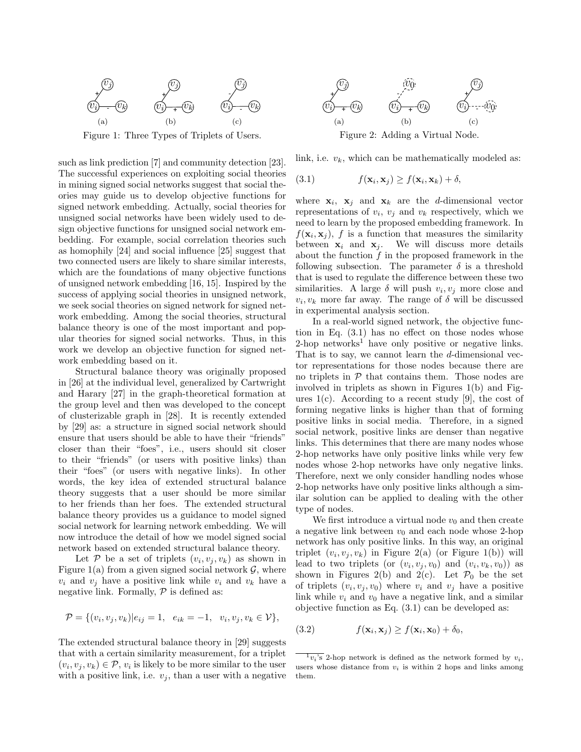

Figure 1: Three Types of Triplets of Users.

such as link prediction [7] and community detection [23]. The successful experiences on exploiting social theories in mining signed social networks suggest that social theories may guide us to develop objective functions for signed network embedding. Actually, social theories for unsigned social networks have been widely used to design objective functions for unsigned social network embedding. For example, social correlation theories such as homophily [24] and social influence [25] suggest that two connected users are likely to share similar interests, which are the foundations of many objective functions of unsigned network embedding [16, 15]. Inspired by the success of applying social theories in unsigned network, we seek social theories on signed network for signed network embedding. Among the social theories, structural balance theory is one of the most important and popular theories for signed social networks. Thus, in this work we develop an objective function for signed network embedding based on it.

Structural balance theory was originally proposed in [26] at the individual level, generalized by Cartwright and Harary [27] in the graph-theoretical formation at the group level and then was developed to the concept of clusterizable graph in [28]. It is recently extended by [29] as: a structure in signed social network should ensure that users should be able to have their "friends" closer than their "foes", i.e., users should sit closer to their "friends" (or users with positive links) than their "foes" (or users with negative links). In other words, the key idea of extended structural balance theory suggests that a user should be more similar to her friends than her foes. The extended structural balance theory provides us a guidance to model signed social network for learning network embedding. We will now introduce the detail of how we model signed social network based on extended structural balance theory.

Let P be a set of triplets  $(v_i, v_j, v_k)$  as shown in Figure 1(a) from a given signed social network  $\mathcal{G}$ , where  $v_i$  and  $v_j$  have a positive link while  $v_i$  and  $v_k$  have a negative link. Formally,  $P$  is defined as:

$$
\mathcal{P} = \{(v_i, v_j, v_k) | e_{ij} = 1, e_{ik} = -1, v_i, v_j, v_k \in \mathcal{V}\},\
$$

The extended structural balance theory in [29] suggests that with a certain similarity measurement, for a triplet  $(v_i, v_j, v_k) \in \mathcal{P}, v_i$  is likely to be more similar to the user with a positive link, i.e.  $v_i$ , than a user with a negative



link, i.e.  $v_k$ , which can be mathematically modeled as:

(3.1) 
$$
f(\mathbf{x}_i, \mathbf{x}_j) \ge f(\mathbf{x}_i, \mathbf{x}_k) + \delta,
$$

where  $x_i$ ,  $x_j$  and  $x_k$  are the d-dimensional vector representations of  $v_i$ ,  $v_j$  and  $v_k$  respectively, which we need to learn by the proposed embedding framework. In  $f(\mathbf{x}_i, \mathbf{x}_j)$ , f is a function that measures the similarity between  $x_i$  and  $x_j$ . We will discuss more details about the function  $f$  in the proposed framework in the following subsection. The parameter  $\delta$  is a threshold that is used to regulate the difference between these two similarities. A large  $\delta$  will push  $v_i, v_j$  more close and  $v_i, v_k$  more far away. The range of  $\delta$  will be discussed in experimental analysis section.

In a real-world signed network, the objective function in Eq. (3.1) has no effect on those nodes whose  $2$ -hop networks<sup>1</sup> have only positive or negative links. That is to say, we cannot learn the  $d$ -dimensional vector representations for those nodes because there are no triplets in  $P$  that contains them. Those nodes are involved in triplets as shown in Figures 1(b) and Figures  $1(c)$ . According to a recent study [9], the cost of forming negative links is higher than that of forming positive links in social media. Therefore, in a signed social network, positive links are denser than negative links. This determines that there are many nodes whose 2-hop networks have only positive links while very few nodes whose 2-hop networks have only negative links. Therefore, next we only consider handling nodes whose 2-hop networks have only positive links although a similar solution can be applied to dealing with the other type of nodes.

We first introduce a virtual node  $v_0$  and then create a negative link between  $v_0$  and each node whose 2-hop network has only positive links. In this way, an original triplet  $(v_i, v_j, v_k)$  in Figure 2(a) (or Figure 1(b)) will lead to two triplets (or  $(v_i, v_j, v_0)$  and  $(v_i, v_k, v_0)$ ) as shown in Figures 2(b) and 2(c). Let  $\mathcal{P}_0$  be the set of triplets  $(v_i, v_j, v_0)$  where  $v_i$  and  $v_j$  have a positive link while  $v_i$  and  $v_0$  have a negative link, and a similar objective function as Eq. (3.1) can be developed as:

(3.2) 
$$
f(\mathbf{x}_i, \mathbf{x}_j) \ge f(\mathbf{x}_i, \mathbf{x}_0) + \delta_0,
$$

 $\overline{v_i}$ 's 2-hop network is defined as the network formed by  $v_i$ , users whose distance from  $v_i$  is within 2 hops and links among them.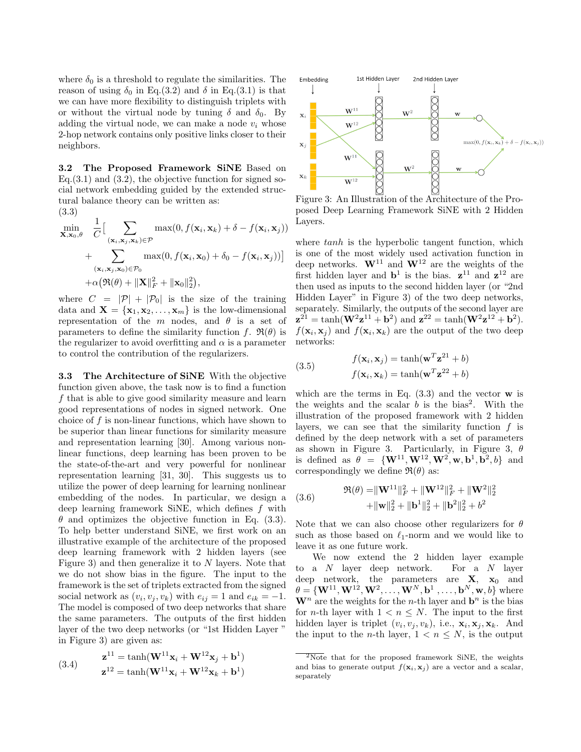where  $\delta_0$  is a threshold to regulate the similarities. The reason of using  $\delta_0$  in Eq.(3.2) and  $\delta$  in Eq.(3.1) is that we can have more flexibility to distinguish triplets with or without the virtual node by tuning  $\delta$  and  $\delta_0$ . By adding the virtual node, we can make a node  $v_i$  whose 2-hop network contains only positive links closer to their neighbors.

3.2 The Proposed Framework SiNE Based on Eq.  $(3.1)$  and  $(3.2)$ , the objective function for signed social network embedding guided by the extended structural balance theory can be written as:

$$
(3.3)
$$

$$
\min_{\mathbf{X},\mathbf{x}_0,\theta} \quad \frac{1}{C} \Big[ \sum_{(\mathbf{x}_i,\mathbf{x}_j,\mathbf{x}_k) \in \mathcal{P}} \max(0, f(\mathbf{x}_i,\mathbf{x}_k) + \delta - f(\mathbf{x}_i,\mathbf{x}_j)) + \sum_{(\mathbf{x}_i,\mathbf{x}_j,\mathbf{x}_0) \in \mathcal{P}_0} \max(0, f(\mathbf{x}_i,\mathbf{x}_0) + \delta_0 - f(\mathbf{x}_i,\mathbf{x}_j)) \Big] + \alpha \big( \Re(\theta) + \|\mathbf{X}\|_F^2 + \|\mathbf{x}_0\|_2^2 \big),
$$

where  $C = |\mathcal{P}| + |\mathcal{P}_0|$  is the size of the training data and  $\mathbf{X} = {\mathbf{x}_1, \mathbf{x}_2, \dots, \mathbf{x}_m}$  is the low-dimensional representation of the m nodes, and  $\theta$  is a set of parameters to define the similarity function f.  $\mathfrak{R}(\theta)$  is the regularizer to avoid overfitting and  $\alpha$  is a parameter to control the contribution of the regularizers.

3.3 The Architecture of SiNE With the objective function given above, the task now is to find a function f that is able to give good similarity measure and learn good representations of nodes in signed network. One choice of  $f$  is non-linear functions, which have shown to be superior than linear functions for similarity measure and representation learning [30]. Among various nonlinear functions, deep learning has been proven to be the state-of-the-art and very powerful for nonlinear representation learning [31, 30]. This suggests us to utilize the power of deep learning for learning nonlinear embedding of the nodes. In particular, we design a deep learning framework SiNE, which defines f with  $\theta$  and optimizes the objective function in Eq. (3.3). To help better understand SiNE, we first work on an illustrative example of the architecture of the proposed deep learning framework with 2 hidden layers (see Figure 3) and then generalize it to  $N$  layers. Note that we do not show bias in the figure. The input to the framework is the set of triplets extracted from the signed social network as  $(v_i, v_j, v_k)$  with  $e_{ij} = 1$  and  $e_{ik} = -1$ . The model is composed of two deep networks that share the same parameters. The outputs of the first hidden layer of the two deep networks (or "1st Hidden Layer " in Figure 3) are given as:

(3.4) 
$$
\mathbf{z}^{11} = \tanh(\mathbf{W}^{11}\mathbf{x}_i + \mathbf{W}^{12}\mathbf{x}_j + \mathbf{b}^1) \n\mathbf{z}^{12} = \tanh(\mathbf{W}^{11}\mathbf{x}_i + \mathbf{W}^{12}\mathbf{x}_k + \mathbf{b}^1)
$$



Figure 3: An Illustration of the Architecture of the Proposed Deep Learning Framework SiNE with 2 Hidden Layers.

where tanh is the hyperbolic tangent function, which is one of the most widely used activation function in deep networks.  $W^{11}$  and  $W^{12}$  are the weights of the first hidden layer and  $\mathbf{b}^1$  is the bias.  $\mathbf{z}^{11}$  and  $\mathbf{z}^{12}$  are then used as inputs to the second hidden layer (or "2nd Hidden Layer" in Figure 3) of the two deep networks, separately. Similarly, the outputs of the second layer are  $z^{21} = \tanh(W^2 z^{11} + b^2)$  and  $z^{22} = \tanh(W^2 z^{12} + b^2)$ .  $f(\mathbf{x}_i, \mathbf{x}_j)$  and  $f(\mathbf{x}_i, \mathbf{x}_k)$  are the output of the two deep networks:

(3.5) 
$$
f(\mathbf{x}_i, \mathbf{x}_j) = \tanh(\mathbf{w}^T \mathbf{z}^{21} + b)
$$

$$
f(\mathbf{x}_i, \mathbf{x}_k) = \tanh(\mathbf{w}^T \mathbf{z}^{22} + b)
$$

which are the terms in Eq.  $(3.3)$  and the vector **w** is the weights and the scalar  $b$  is the bias<sup>2</sup>. With the illustration of the proposed framework with 2 hidden layers, we can see that the similarity function  $f$  is defined by the deep network with a set of parameters as shown in Figure 3. Particularly, in Figure 3,  $\theta$ is defined as  $\theta = {\mathbf{W}^{11}, \mathbf{W}^{12}, \mathbf{W}^{2}, \mathbf{w}, \mathbf{b}^{1}, \mathbf{b}^{2}, b}$  and correspondingly we define  $\Re(\theta)$  as:

(3.6) 
$$
\mathfrak{R}(\theta) = \|\mathbf{W}^{11}\|_F^2 + \|\mathbf{W}^{12}\|_F^2 + \|\mathbf{W}^2\|_2^2 + \|\mathbf{W}^2\|_2^2 + \|\mathbf{b}^1\|_2^2 + \|\mathbf{b}^2\|_2^2 + b^2
$$

Note that we can also choose other regularizers for  $\theta$ such as those based on  $\ell_1$ -norm and we would like to leave it as one future work.

We now extend the 2 hidden layer example to a N layer deep network. For a N layer deep network, the parameters are  $X$ ,  $x_0$  and  $\theta = \{\mathbf{W}^{11}, \mathbf{W}^{12}, \mathbf{W}^{2}, \dots, \mathbf{W}^{N}, \mathbf{b}^{1}, \dots, \mathbf{b}^{N}, \mathbf{w}, b\}$  where  $\mathbf{W}^n$  are the weights for the *n*-th layer and  $\mathbf{b}^n$  is the bias for *n*-th layer with  $1 < n \leq N$ . The input to the first hidden layer is triplet  $(v_i, v_j, v_k)$ , i.e.,  $\mathbf{x}_i, \mathbf{x}_j, \mathbf{x}_k$ . And the input to the *n*-th layer,  $1 < n \leq N$ , is the output

 $\sqrt[2]{2N}$  that for the proposed framework SiNE, the weights and bias to generate output  $f(\mathbf{x}_i, \mathbf{x}_j)$  are a vector and a scalar, separately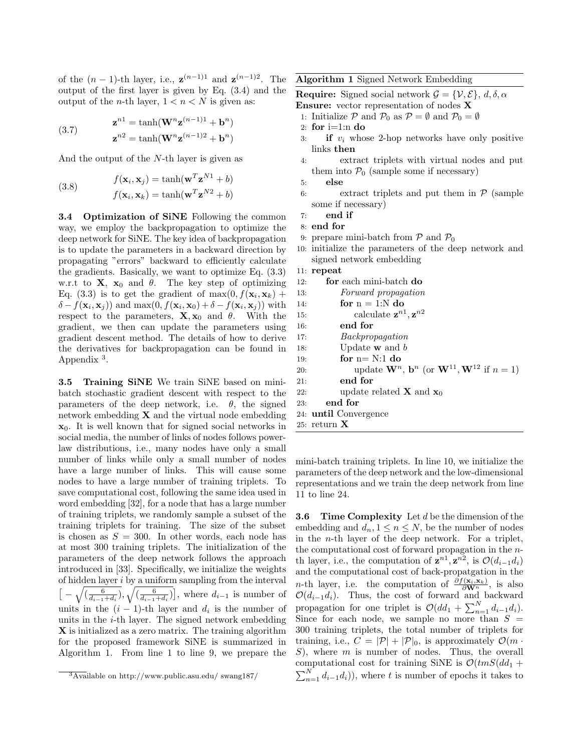of the  $(n-1)$ -th layer, i.e.,  $\mathbf{z}^{(n-1)1}$  and  $\mathbf{z}^{(n-1)2}$ . The output of the first layer is given by Eq. (3.4) and the output of the *n*-th layer,  $1 < n < N$  is given as:

(3.7) 
$$
\mathbf{z}^{n1} = \tanh(\mathbf{W}^n \mathbf{z}^{(n-1)1} + \mathbf{b}^n)
$$

$$
\mathbf{z}^{n2} = \tanh(\mathbf{W}^n \mathbf{z}^{(n-1)2} + \mathbf{b}^n)
$$

And the output of the N-th layer is given as

(3.8) 
$$
f(\mathbf{x}_i, \mathbf{x}_j) = \tanh(\mathbf{w}^T \mathbf{z}^{N1} + b)
$$

$$
f(\mathbf{x}_i, \mathbf{x}_k) = \tanh(\mathbf{w}^T \mathbf{z}^{N2} + b)
$$

3.4 Optimization of SiNE Following the common way, we employ the backpropagation to optimize the deep network for SiNE. The key idea of backpropagation is to update the parameters in a backward direction by propagating "errors" backward to efficiently calculate the gradients. Basically, we want to optimize Eq. (3.3) w.r.t to **X**,  $x_0$  and  $\theta$ . The key step of optimizing Eq. (3.3) is to get the gradient of  $\max(0, f(\mathbf{x}_i, \mathbf{x}_k))$  +  $\delta - f(\mathbf{x}_i, \mathbf{x}_j)$  and max $(0, f(\mathbf{x}_i, \mathbf{x}_0) + \delta - f(\mathbf{x}_i, \mathbf{x}_j))$  with respect to the parameters,  $\mathbf{X}, \mathbf{x}_0$  and  $\theta$ . With the gradient, we then can update the parameters using gradient descent method. The details of how to derive the derivatives for backpropagation can be found in Appendix<sup>3</sup>.

3.5 Training SiNE We train SiNE based on minibatch stochastic gradient descent with respect to the parameters of the deep network, i.e.  $\theta$ , the signed network embedding  $X$  and the virtual node embedding  $x_0$ . It is well known that for signed social networks in social media, the number of links of nodes follows powerlaw distributions, i.e., many nodes have only a small number of links while only a small number of nodes have a large number of links. This will cause some nodes to have a large number of training triplets. To save computational cost, following the same idea used in word embedding [32], for a node that has a large number of training triplets, we randomly sample a subset of the training triplets for training. The size of the subset is chosen as  $S = 300$ . In other words, each node has at most 300 training triplets. The initialization of the parameters of the deep network follows the approach introduced in [33]. Specifically, we initialize the weights of hidden layer i by a uniform sampling from the interval  $\left[-\sqrt{\left(\frac{6}{d_{i-1}+d_i}\right)},\sqrt{\left(\frac{6}{d_{i-1}+d_i}\right)}\right]$ , where  $d_{i-1}$  is number of units in the  $(i - 1)$ -th layer and  $d_i$  is the number of units in the  $i$ -th layer. The signed network embedding X is initialized as a zero matrix. The training algorithm for the proposed framework SiNE is summarized in Algorithm 1. From line 1 to line 9, we prepare the Algorithm 1 Signed Network Embedding

**Require:** Signed social network  $\mathcal{G} = \{\mathcal{V}, \mathcal{E}\}, d, \delta, \alpha$ Ensure: vector representation of nodes X

1: Initialize P and  $\mathcal{P}_0$  as  $\mathcal{P} = \emptyset$  and  $\mathcal{P}_0 = \emptyset$ 

- 2: for  $i=1:n$  do
- 3: **if**  $v_i$  whose 2-hop networks have only positive links then
- 4: extract triplets with virtual nodes and put them into  $P_0$  (sample some if necessary)

6: extract triplets and put them in  $P$  (sample some if necessary)

```
7: end if
```
- 8: end for
- 9: prepare mini-batch from  $P$  and  $P_0$
- 10: initialize the parameters of the deep network and signed network embedding
- 11: repeat 12: for each mini-batch do

| <b>14.</b> |                                                                                            |
|------------|--------------------------------------------------------------------------------------------|
| 13:        | Forward propagation                                                                        |
| 14:        | for $n = 1:N$ do                                                                           |
| 15:        | calculate $z^{n1}, z^{n2}$                                                                 |
| 16:        | end for                                                                                    |
| 17:        | Backpropagation                                                                            |
| 18:        | Update $\bf{w}$ and $\bf{\hat{b}}$                                                         |
| 19:        | for $n = N:1$ do                                                                           |
| 20:        | update $\mathbf{W}^n$ , $\mathbf{b}^n$ (or $\mathbf{W}^{11}, \mathbf{W}^{12}$ if $n = 1$ ) |
| 21:        | end for                                                                                    |
| 22:        | update related <b>X</b> and $x_0$                                                          |
| 23:        | end for                                                                                    |
|            | 24: until Convergence                                                                      |
|            | 25: return $\mathbf X$                                                                     |

mini-batch training triplets. In line 10, we initialize the parameters of the deep network and the low-dimensional representations and we train the deep network from line 11 to line 24.

**3.6 Time Complexity** Let  $d$  be the dimension of the embedding and  $d_n, 1 \leq n \leq N$ , be the number of nodes in the n-th layer of the deep network. For a triplet, the computational cost of forward propagation in the nth layer, i.e., the computation of  $\mathbf{z}^{n1}, \mathbf{z}^{n2}$ , is  $\mathcal{O}(d_{i-1}d_i)$ and the computational cost of back-propatgation in the *n*-th layer, i.e. the computation of  $\frac{\partial f(\mathbf{x}_i, \mathbf{x}_k)}{\partial \mathbf{W}^n}$ , is also  $\mathcal{O}(d_{i-1}d_i)$ . Thus, the cost of forward and backward propagation for one triplet is  $\mathcal{O}(dd_1 + \sum_{n=1}^N d_{i-1}d_i)$ . Since for each node, we sample no more than  $S =$ 300 training triplets, the total number of triplets for training, i.e.,  $C = |\mathcal{P}| + |\mathcal{P}|_0$ , is approximately  $\mathcal{O}(m \cdot$  $S$ ), where  $m$  is number of nodes. Thus, the overall computational cost for training SiNE is  $\mathcal{O}(tmS(dd_1 +$  $\sum_{n=1}^{N} d_{i-1} d_i$ , where t is number of epochs it takes to

 $\frac{3}{3}$ Available on http://www.public.asu.edu/ swang187/

<sup>5:</sup> else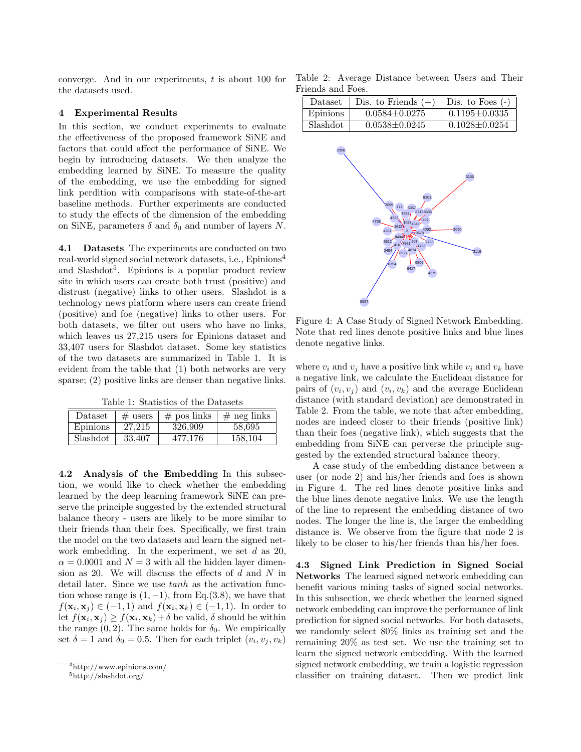converge. And in our experiments, t is about 100 for the datasets used.

# 4 Experimental Results

In this section, we conduct experiments to evaluate the effectiveness of the proposed framework SiNE and factors that could affect the performance of SiNE. We begin by introducing datasets. We then analyze the embedding learned by SiNE. To measure the quality of the embedding, we use the embedding for signed link perdition with comparisons with state-of-the-art baseline methods. Further experiments are conducted to study the effects of the dimension of the embedding on SiNE, parameters  $\delta$  and  $\delta_0$  and number of layers N.

4.1 Datasets The experiments are conducted on two real-world signed social network datasets, i.e., Epinions<sup>4</sup> and Slashdot<sup>5</sup>. Epinions is a popular product review site in which users can create both trust (positive) and distrust (negative) links to other users. Slashdot is a technology news platform where users can create friend (positive) and foe (negative) links to other users. For both datasets, we filter out users who have no links, which leaves us 27,215 users for Epinions dataset and 33,407 users for Slashdot dataset. Some key statistics of the two datasets are summarized in Table 1. It is evident from the table that (1) both networks are very sparse; (2) positive links are denser than negative links.

Table 1: Statistics of the Datasets

| Dataset  | $#$ users | $#$ pos links | $#$ neg links |
|----------|-----------|---------------|---------------|
| Epinions | 27.215    | 326,909       | 58,695        |
| Slashdot | 33,407    | 477.176       | 158.104       |

4.2 Analysis of the Embedding In this subsection, we would like to check whether the embedding learned by the deep learning framework SiNE can preserve the principle suggested by the extended structural balance theory - users are likely to be more similar to their friends than their foes. Specifically, we first train the model on the two datasets and learn the signed network embedding. In the experiment, we set  $d$  as 20,  $\alpha = 0.0001$  and  $N = 3$  with all the hidden layer dimension as 20. We will discuss the effects of  $d$  and  $N$  in detail later. Since we use  $tanh$  as the activation function whose range is  $(1, -1)$ , from Eq.(3.8), we have that  $f(\mathbf{x}_i, \mathbf{x}_j) \in (-1, 1)$  and  $f(\mathbf{x}_i, \mathbf{x}_k) \in (-1, 1)$ . In order to let  $f(\mathbf{x}_i, \mathbf{x}_j) \ge f(\mathbf{x}_i, \mathbf{x}_k) + \delta$  be valid,  $\delta$  should be within the range  $(0, 2)$ . The same holds for  $\delta_0$ . We empirically set  $\delta = 1$  and  $\delta_0 = 0.5$ . Then for each triplet  $(v_i, v_j, v_k)$ 

Table 2: Average Distance between Users and Their Friends and Foes.

| Dataset  | Dis. to Friends $(+)$ | Dis. to Foes $(-)$  |
|----------|-----------------------|---------------------|
| Epinions | $0.0584 + 0.0275$     | $0.1195 + 0.0335$   |
| Slashdot | $0.0538 + 0.0245$     | $0.1028 \pm 0.0254$ |



Figure 4: A Case Study of Signed Network Embedding. Note that red lines denote positive links and blue lines denote negative links.

where  $v_i$  and  $v_j$  have a positive link while  $v_i$  and  $v_k$  have a negative link, we calculate the Euclidean distance for pairs of  $(v_i, v_j)$  and  $(v_i, v_k)$  and the average Euclidean distance (with standard deviation) are demonstrated in Table 2. From the table, we note that after embedding, nodes are indeed closer to their friends (positive link) than their foes (negative link), which suggests that the embedding from SiNE can perverse the principle suggested by the extended structural balance theory.

A case study of the embedding distance between a user (or node 2) and his/her friends and foes is shown in Figure 4. The red lines denote positive links and the blue lines denote negative links. We use the length of the line to represent the embedding distance of two nodes. The longer the line is, the larger the embedding distance is. We observe from the figure that node 2 is likely to be closer to his/her friends than his/her foes.

4.3 Signed Link Prediction in Signed Social Networks The learned signed network embedding can benefit various mining tasks of signed social networks. In this subsection, we check whether the learned signed network embedding can improve the performance of link prediction for signed social networks. For both datasets, we randomly select 80% links as training set and the remaining 20% as test set. We use the training set to learn the signed network embedding. With the learned signed network embedding, we train a logistic regression classifier on training dataset. Then we predict link

 $\frac{4 \text{http://www.epinions.com/}}{4 \text{http://www.epinions.com/}}$ 

<sup>5</sup>http://slashdot.org/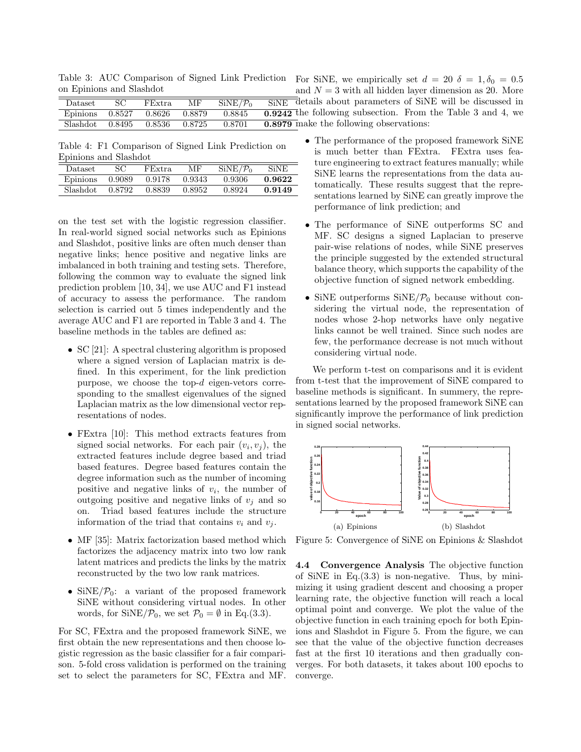Table 3: AUC Comparison of Signed Link Prediction on Epinions and Slashdot

| Dataset                | FExtra | МF     | SiNE/P <sub>0</sub> | SiNE details                  |
|------------------------|--------|--------|---------------------|-------------------------------|
| Epinions 0.8527 0.8626 |        | 0.8879 | 0.8845              | $\overline{0.9242}$ the follo |
| Slashdot 0.8495 0.8536 |        | 0.8725 | 0.8701              | $0.8979$ make the             |

Table 4: F1 Comparison of Signed Link Prediction on Epinions and Slashdot

| Dataset   |        | FExtra. | МF     | $SiNE/\mathcal{P}_0$ | <b>SiNE</b> |
|-----------|--------|---------|--------|----------------------|-------------|
| Epinions  | 0.9089 | 0.9178  | 0.9343 | 0.9306               | 0.9622      |
| Slashdot. | 0.8792 | 0.8839  | 0.8952 | 0.8924               | 0.9149      |

on the test set with the logistic regression classifier. In real-world signed social networks such as Epinions and Slashdot, positive links are often much denser than negative links; hence positive and negative links are imbalanced in both training and testing sets. Therefore, following the common way to evaluate the signed link prediction problem [10, 34], we use AUC and F1 instead of accuracy to assess the performance. The random selection is carried out 5 times independently and the average AUC and F1 are reported in Table 3 and 4. The baseline methods in the tables are defined as:

- SC [21]: A spectral clustering algorithm is proposed where a signed version of Laplacian matrix is defined. In this experiment, for the link prediction purpose, we choose the top-d eigen-vetors corresponding to the smallest eigenvalues of the signed Laplacian matrix as the low dimensional vector representations of nodes.
- FExtra [10]: This method extracts features from signed social networks. For each pair  $(v_i, v_j)$ , the extracted features include degree based and triad based features. Degree based features contain the degree information such as the number of incoming positive and negative links of  $v_i$ , the number of outgoing positive and negative links of  $v_j$  and so on. Triad based features include the structure information of the triad that contains  $v_i$  and  $v_j$ .
- MF [35]: Matrix factorization based method which factorizes the adjacency matrix into two low rank latent matrices and predicts the links by the matrix reconstructed by the two low rank matrices.
- SiNE $/\mathcal{P}_0$ : a variant of the proposed framework SiNE without considering virtual nodes. In other words, for  $\text{SiNE}/\mathcal{P}_0$ , we set  $\mathcal{P}_0 = \emptyset$  in Eq.(3.3).

For SC, FExtra and the proposed framework SiNE, we first obtain the new representations and then choose logistic regression as the basic classifier for a fair comparison. 5-fold cross validation is performed on the training set to select the parameters for SC, FExtra and MF.

- For SiNE, we empirically set  $d = 20 \delta = 1, \delta_0 = 0.5$ and  $N = 3$  with all hidden layer dimension as 20. More about parameters of SiNE will be discussed in owing subsection. From the Table 3 and 4, we ne following observations:
	- The performance of the proposed framework SiNE is much better than FExtra. FExtra uses feature engineering to extract features manually; while SiNE learns the representations from the data automatically. These results suggest that the representations learned by SiNE can greatly improve the performance of link prediction; and
	- The performance of SiNE outperforms SC and MF. SC designs a signed Laplacian to preserve pair-wise relations of nodes, while SiNE preserves the principle suggested by the extended structural balance theory, which supports the capability of the objective function of signed network embedding.
	- SiNE outperforms  $\text{SiNE}/\mathcal{P}_0$  because without considering the virtual node, the representation of nodes whose 2-hop networks have only negative links cannot be well trained. Since such nodes are few, the performance decrease is not much without considering virtual node.

We perform t-test on comparisons and it is evident from t-test that the improvement of SiNE compared to baseline methods is significant. In summery, the representations learned by the proposed framework SiNE can significantly improve the performance of link prediction in signed social networks.



Figure 5: Convergence of SiNE on Epinions & Slashdot

4.4 Convergence Analysis The objective function of SiNE in Eq. $(3.3)$  is non-negative. Thus, by minimizing it using gradient descent and choosing a proper learning rate, the objective function will reach a local optimal point and converge. We plot the value of the objective function in each training epoch for both Epinions and Slashdot in Figure 5. From the figure, we can see that the value of the objective function decreases fast at the first 10 iterations and then gradually converges. For both datasets, it takes about 100 epochs to converge.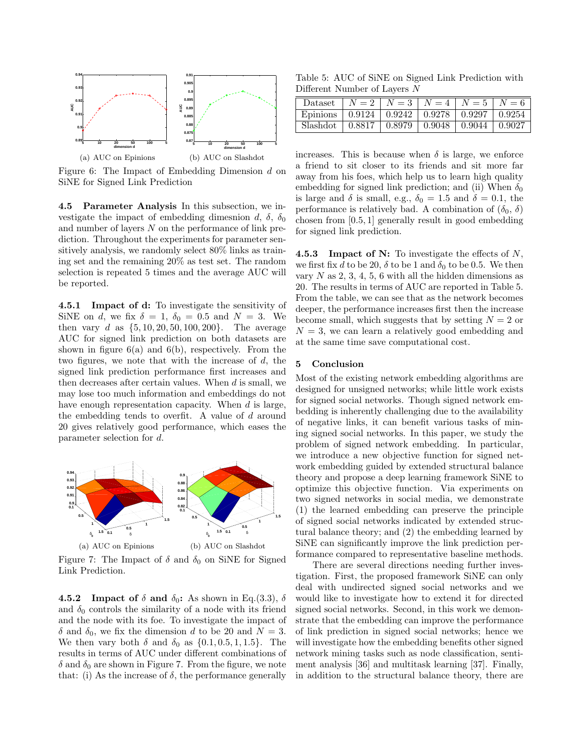

Figure 6: The Impact of Embedding Dimension d on SiNE for Signed Link Prediction

4.5 Parameter Analysis In this subsection, we investigate the impact of embedding dimesnion d,  $\delta$ ,  $\delta_0$ and number of layers N on the performance of link prediction. Throughout the experiments for parameter sensitively analysis, we randomly select 80% links as training set and the remaining 20% as test set. The random selection is repeated 5 times and the average AUC will be reported.

4.5.1 Impact of d: To investigate the sensitivity of SiNE on d, we fix  $\delta = 1$ ,  $\delta_0 = 0.5$  and  $N = 3$ . We then vary d as  $\{5, 10, 20, 50, 100, 200\}$ . The average AUC for signed link prediction on both datasets are shown in figure  $6(a)$  and  $6(b)$ , respectively. From the two figures, we note that with the increase of  $d$ , the signed link prediction performance first increases and then decreases after certain values. When  $d$  is small, we may lose too much information and embeddings do not have enough representation capacity. When d is large, the embedding tends to overfit. A value of d around 20 gives relatively good performance, which eases the parameter selection for d.



Figure 7: The Impact of  $\delta$  and  $\delta_0$  on SiNE for Signed Link Prediction.

**4.5.2** Impact of  $\delta$  and  $\delta_0$ : As shown in Eq.(3.3),  $\delta$ and  $\delta_0$  controls the similarity of a node with its friend and the node with its foe. To investigate the impact of δ and δ<sub>0</sub>, we fix the dimension d to be 20 and  $N = 3$ . We then vary both  $\delta$  and  $\delta_0$  as  $\{0.1, 0.5, 1, 1.5\}$ . The results in terms of AUC under different combinations of  $\delta$  and  $\delta_0$  are shown in Figure 7. From the figure, we note that: (i) As the increase of  $\delta$ , the performance generally

Table 5: AUC of SiNE on Signed Link Prediction with Different Number of Layers N

| Dataset                                                         |  | $N = 2$   $N = 3$   $N = 4$   $N = 5$   $N = 6$          |  |
|-----------------------------------------------------------------|--|----------------------------------------------------------|--|
| Epinions   $0.9124$   $0.9242$   $0.9278$   $0.9297$   $0.9254$ |  |                                                          |  |
| Slashdot                                                        |  | $0.8817 \mid 0.8979 \mid 0.9048 \mid 0.9044 \mid 0.9027$ |  |

increases. This is because when  $\delta$  is large, we enforce a friend to sit closer to its friends and sit more far away from his foes, which help us to learn high quality embedding for signed link prediction; and (ii) When  $\delta_0$ is large and  $\delta$  is small, e.g.,  $\delta_0 = 1.5$  and  $\delta = 0.1$ , the performance is relatively bad. A combination of  $(\delta_0, \delta)$ chosen from [0.5, 1] generally result in good embedding for signed link prediction.

**4.5.3** Impact of N: To investigate the effects of  $N$ , we first fix d to be 20,  $\delta$  to be 1 and  $\delta_0$  to be 0.5. We then vary  $N$  as  $2, 3, 4, 5, 6$  with all the hidden dimensions as 20. The results in terms of AUC are reported in Table 5. From the table, we can see that as the network becomes deeper, the performance increases first then the increase become small, which suggests that by setting  $N = 2$  or  $N = 3$ , we can learn a relatively good embedding and at the same time save computational cost.

### 5 Conclusion

Most of the existing network embedding algorithms are designed for unsigned networks; while little work exists for signed social networks. Though signed network embedding is inherently challenging due to the availability of negative links, it can benefit various tasks of mining signed social networks. In this paper, we study the problem of signed network embedding. In particular, we introduce a new objective function for signed network embedding guided by extended structural balance theory and propose a deep learning framework SiNE to optimize this objective function. Via experiments on two signed networks in social media, we demonstrate (1) the learned embedding can preserve the principle of signed social networks indicated by extended structural balance theory; and (2) the embedding learned by SiNE can significantly improve the link prediction performance compared to representative baseline methods.

There are several directions needing further investigation. First, the proposed framework SiNE can only deal with undirected signed social networks and we would like to investigate how to extend it for directed signed social networks. Second, in this work we demonstrate that the embedding can improve the performance of link prediction in signed social networks; hence we will investigate how the embedding benefits other signed network mining tasks such as node classification, sentiment analysis [36] and multitask learning [37]. Finally, in addition to the structural balance theory, there are